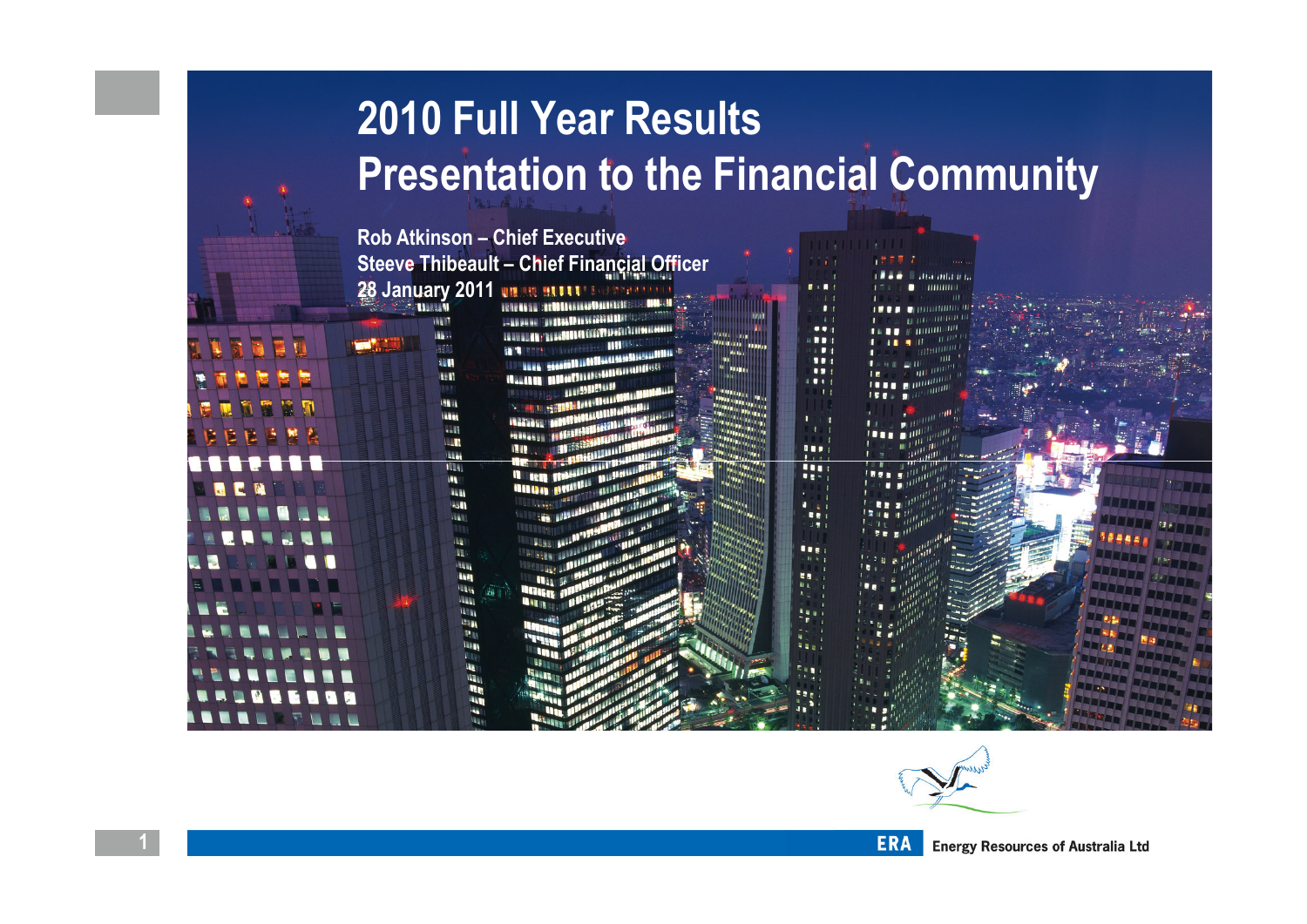## 2010 Full Year ResultsPresentation to the Financial Community

Rob Atkinson – Chief Executive Steeve Thibeault – Chief Financial Officer 28 January 2011

> 调谐图 理解 雅典 **INSTE HELL WEEK**  $-11$ **ILL T TILL** w **ILLE** 职 m **Line**

**HER** liau **Willia** 

щ

... ... **FE** ..  $\overline{1}$ **Fre** 441



**Home and the district** THUILI

.

 $...$  $\blacksquare$ 

 $\blacksquare$ 111

 $\bullet$ 

 $\bullet$ .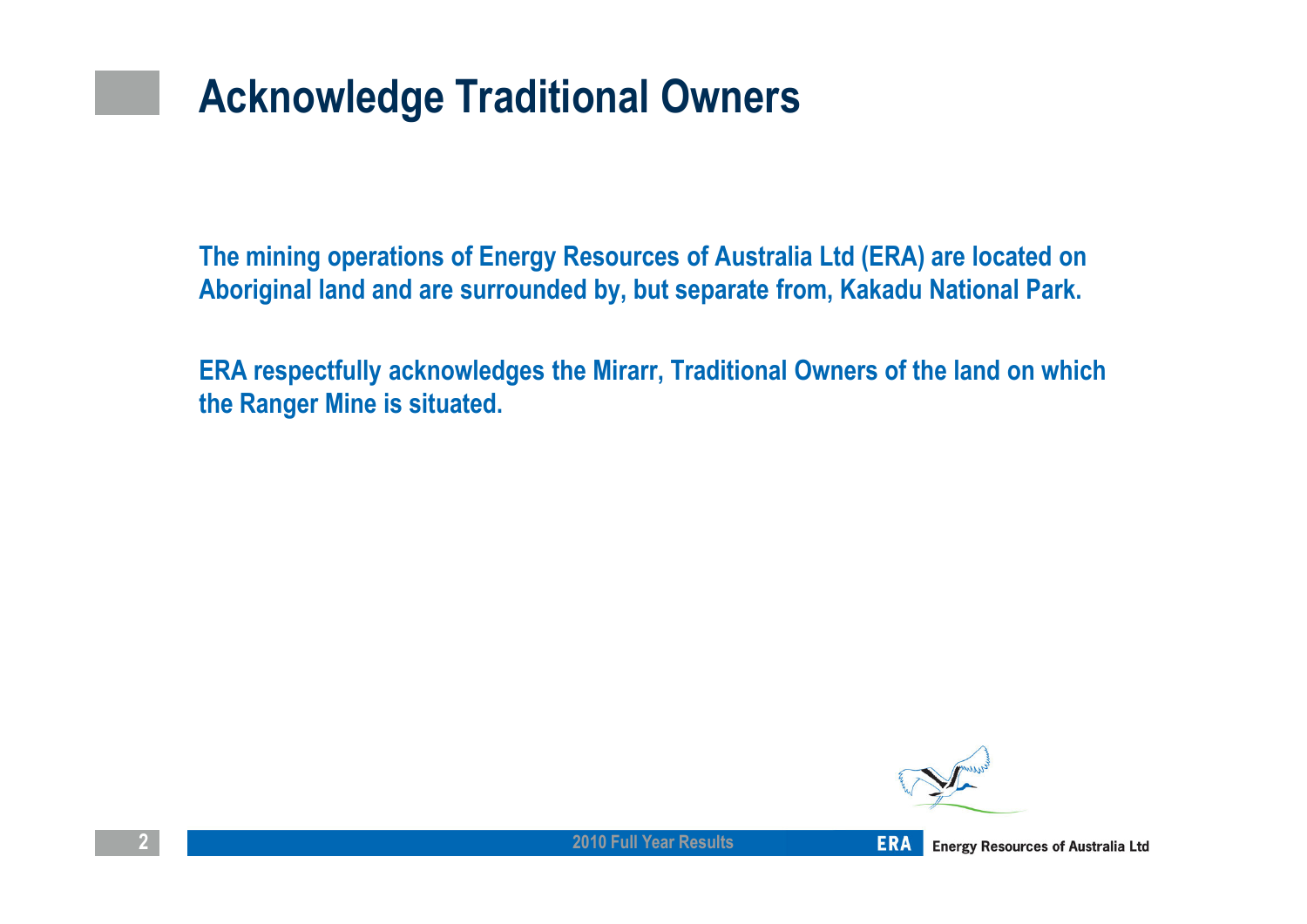## Acknowledge Traditional Owners

The mining operations of Energy Resources of Australia Ltd (ERA) are located on Aboriginal land and are surrounded by, but separate from, Kakadu National Park.

ERA respectfully acknowledges the Mirarr, Traditional Owners of the land on which the Ranger Mine is situated.

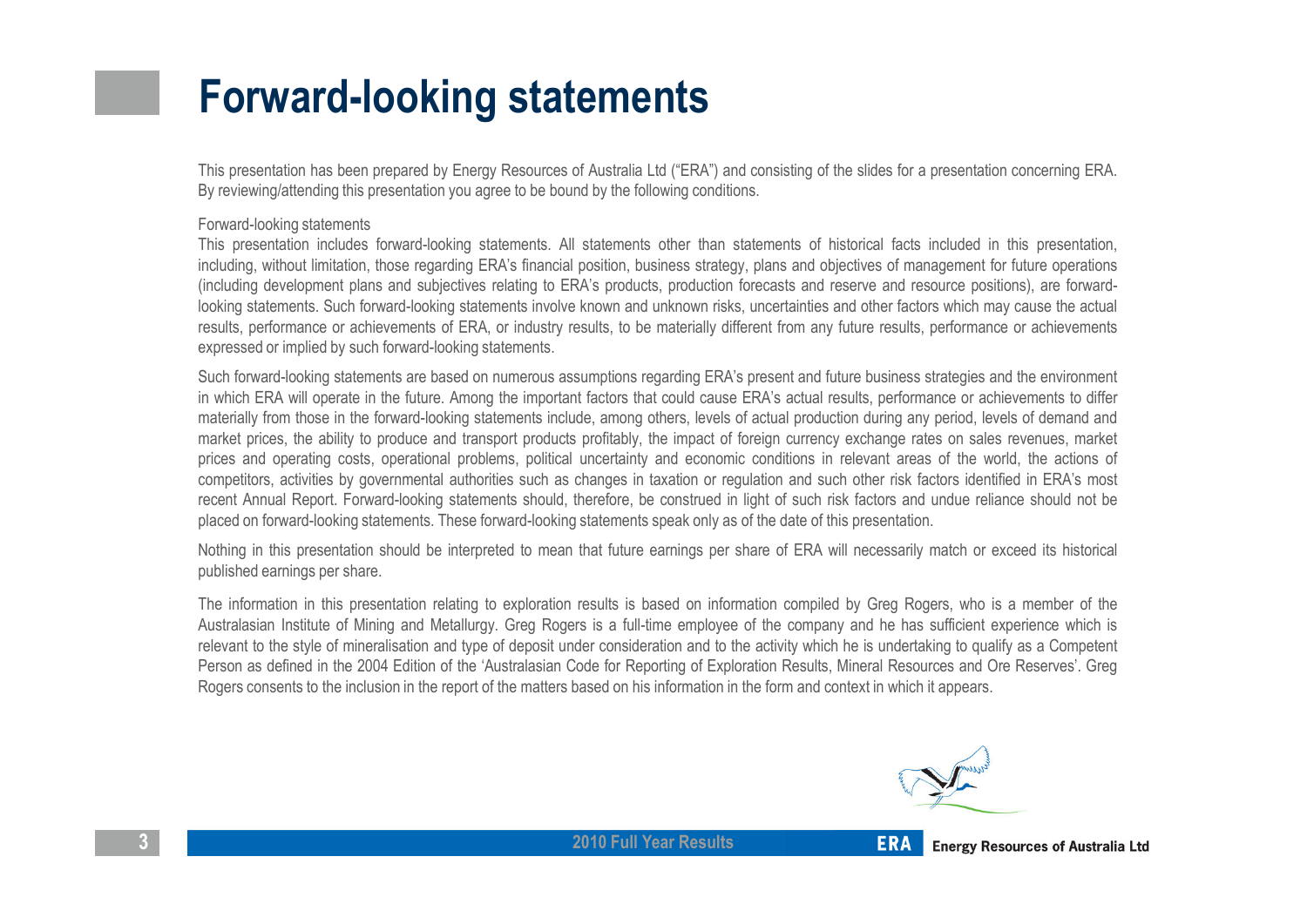## Forward-looking statements

This presentation has been prepared by Energy Resources of Australia Ltd ("ERA") and consisting of the slides for <sup>a</sup> presentation concerning ERA. By reviewing/attending this presentation you agree to be bound by the following conditions.

#### Forward-looking statements

 This presentation includes forward-looking statements. All statements other than statements of historical facts included in this presentation, including, without limitation, those regarding ERA's financial position, business strategy, plans and objectives of management for future operations (including development plans and subjectives relating to ERA's products, production forecasts and reserve and resource positions), are forwardlooking statements. Such forward-looking statements involve known and unknown risks, uncertainties and other factors which may cause the actual results, performance or achievements of ERA, or industry results, to be materially different from any future results, performance or achievementsexpressed or implied by such forward-looking statements.

Such forward-looking statements are based on numerous assumptions regarding ERA's present and future business strategies and the environment in which ERA will operate in the future. Among the important factors that could cause ERA's actual results, performance or achievements to differ materially from those in the forward-looking statements include, among others, levels of actual production during any period, levels of demand and market prices, the ability to produce and transport products profitably, the impact of foreign currency exchange rates on sales revenues, market prices and operating costs, operational problems, political uncertainty and economic conditions in relevant areas of the world, the actions of competitors, activities by governmental authorities such as changes in taxation or regulation and such other risk factors identified in ERA's most recent Annual Report. Forward-looking statements should, therefore, be construed in light of such risk factors and undue reliance should not beplaced on forward-looking statements. These forward-looking statements speak only as of the date of this presentation.

Nothing in this presentation should be interpreted to mean that future earnings per share of ERA will necessarily match or exceed its historical published earnings per share.

The information in this presentation relating to exploration results is based on information compiled by Greg Rogers, who is <sup>a</sup> member of the Australasian Institute of Mining and Metallurgy. Greg Rogers is <sup>a</sup> full-time employee of the company and he has sufficient experience which is relevant to the style of mineralisation and type of deposit under consideration and to the activity which he is undertaking to qualify as <sup>a</sup> Competent Person as defined in the 2004 Edition of the 'Australasian Code for Reporting of Exploration Results, Mineral Resources and Ore Reserves'. GregRogers consents to the inclusion in the report of the matters based on his information in the form and context in which it appears.

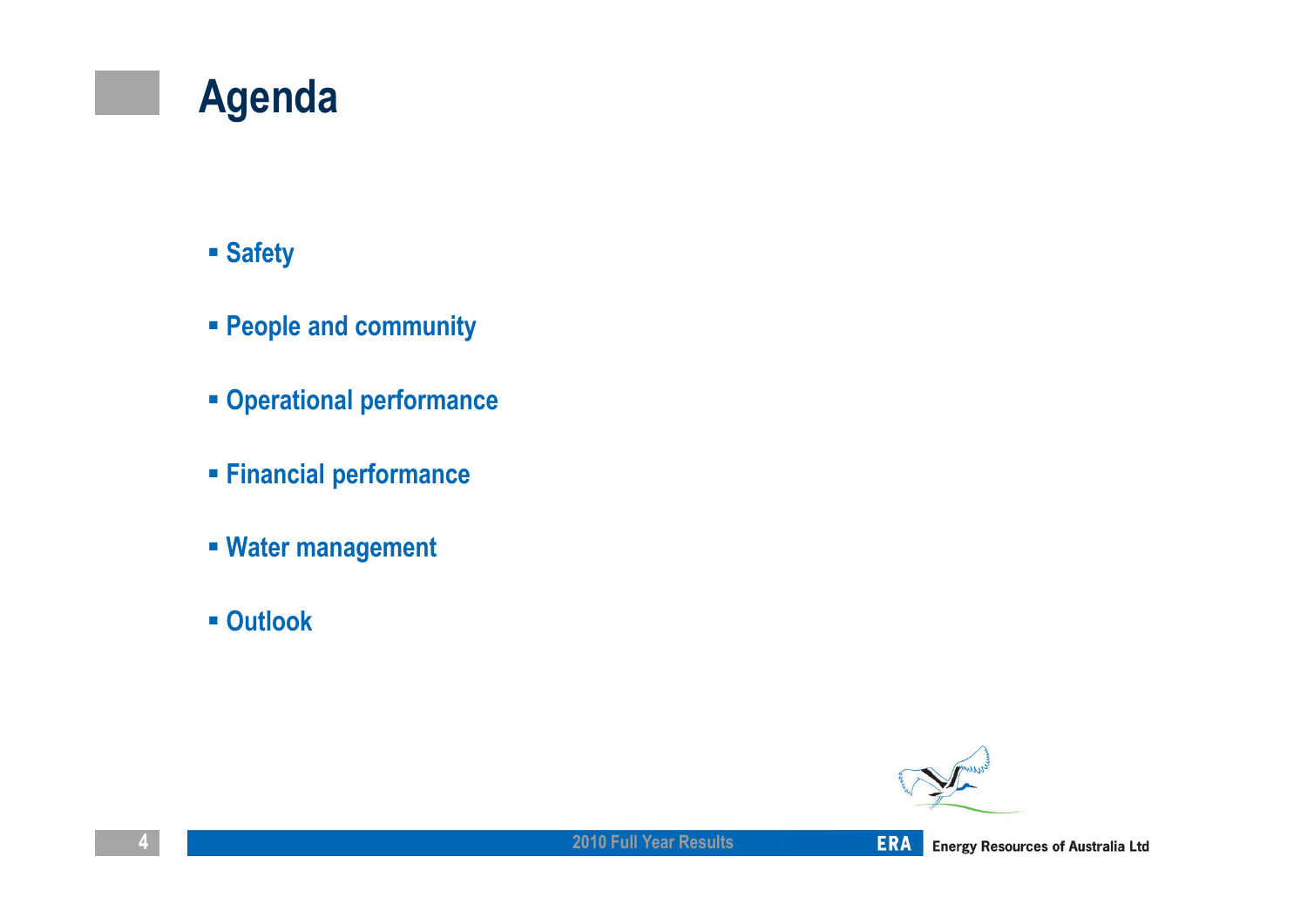## Agenda

### Safety

- People and community
- Operational performance
- Financial performance
- Water management
- Outlook

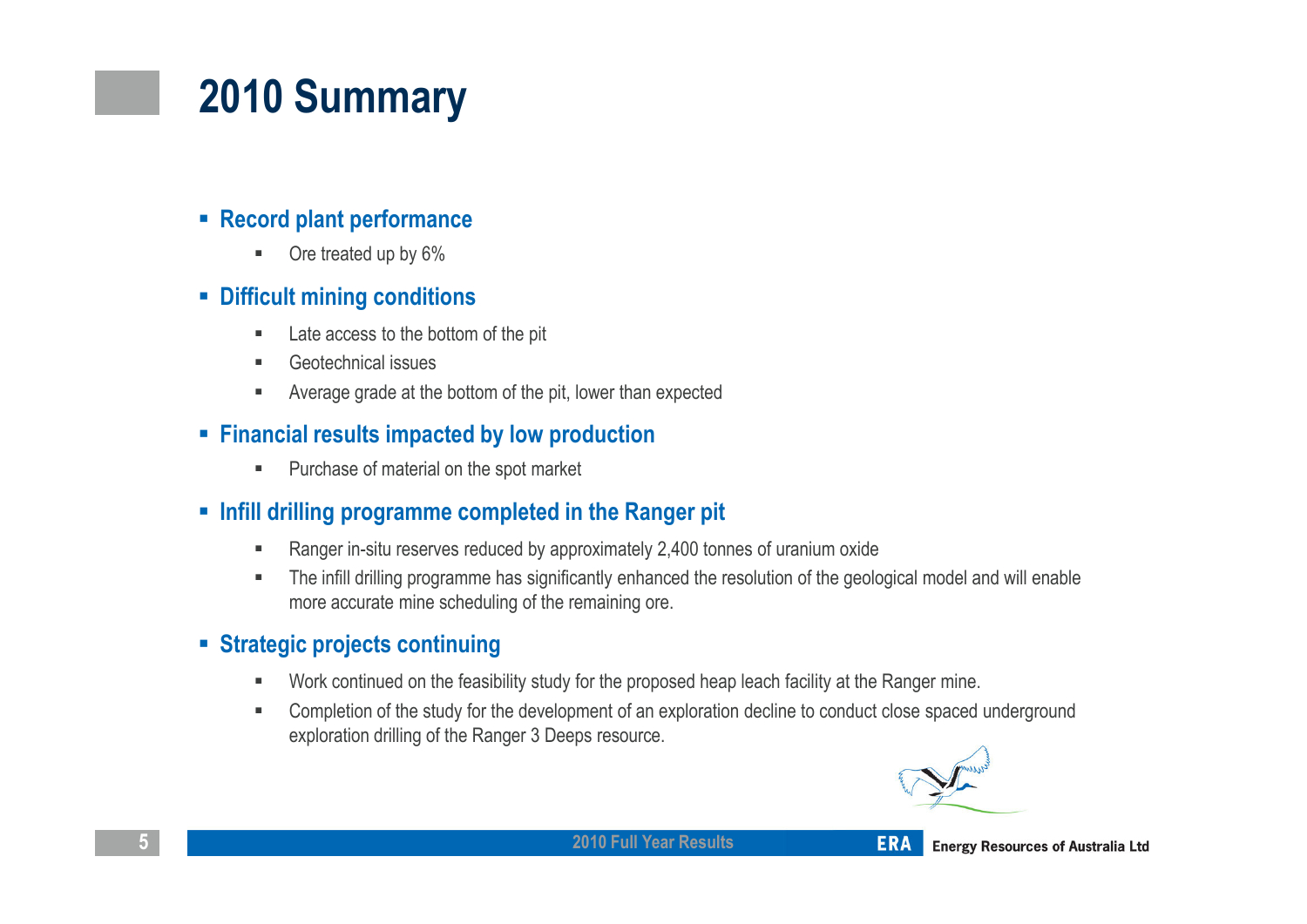# 2010 Summary

#### ■ Record plant performance

٠ Ore treated up by 6%

#### Difficult mining conditions

- $\blacksquare$ Late access to the bottom of the pit
- × Geotechnical issues
- × Average grade at the bottom of the pit, lower than expected

#### **Financial results impacted by low production**

 $\mathbf{u}$  . Purchase of material on the spot market

#### **■ Infill drilling programme completed in the Ranger pit**

- $\blacksquare$ Ranger in-situ reserves reduced by approximately 2,400 tonnes of uranium oxide
- $\blacksquare$  The infill drilling programme has significantly enhanced the resolution of the geological model and will enable more accurate mine scheduling of the remaining ore.

#### Strategic projects continuing

- $\blacksquare$ Work continued on the feasibility study for the proposed heap leach facility at the Ranger mine.
- $\blacksquare$  Completion of the study for the development of an exploration decline to conduct close spaced underground exploration drilling of the Ranger 3 Deeps resource.

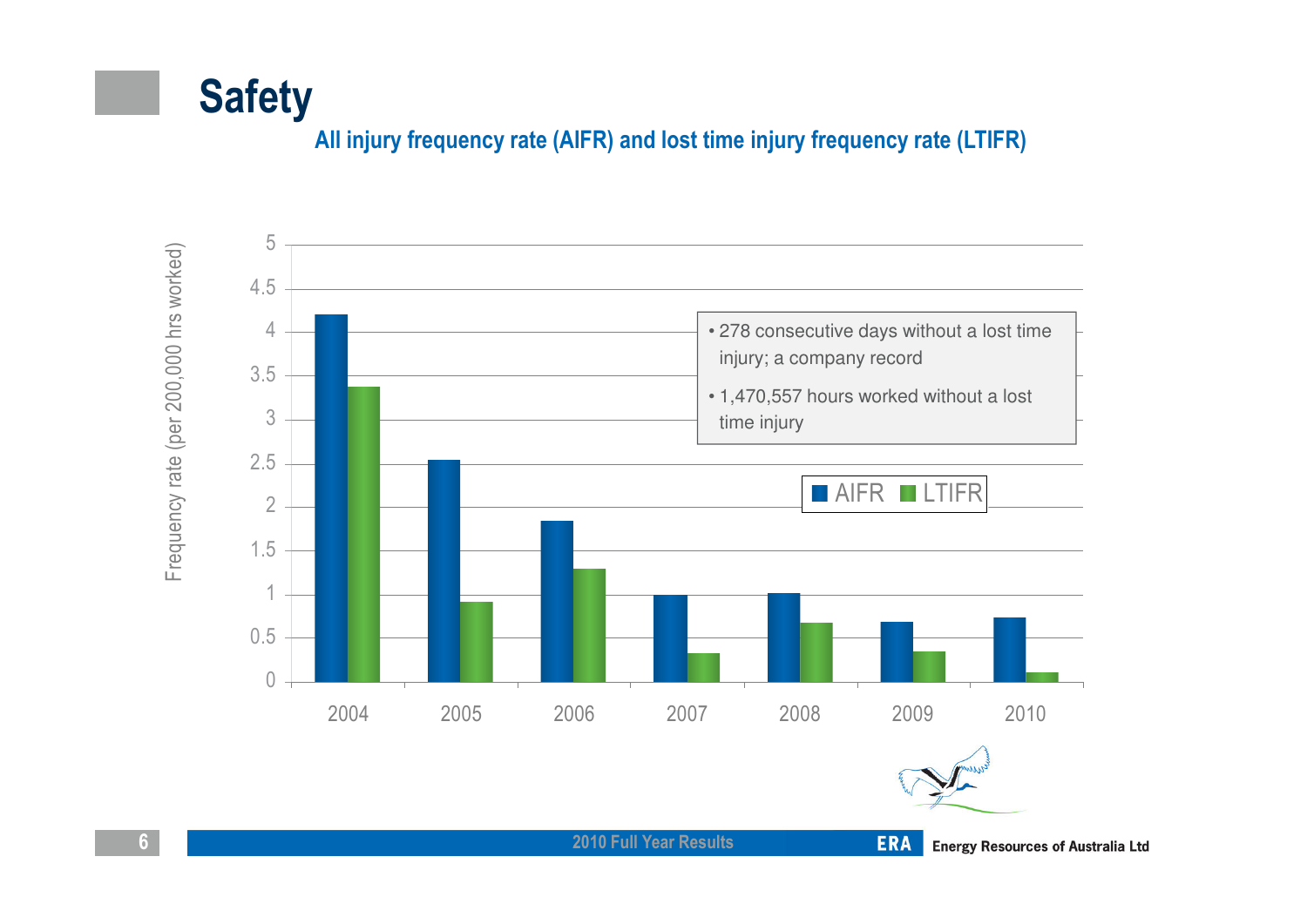

#### All injury frequency rate (AIFR) and lost time injury frequency rate (LTIFR)



2010 Full Year Results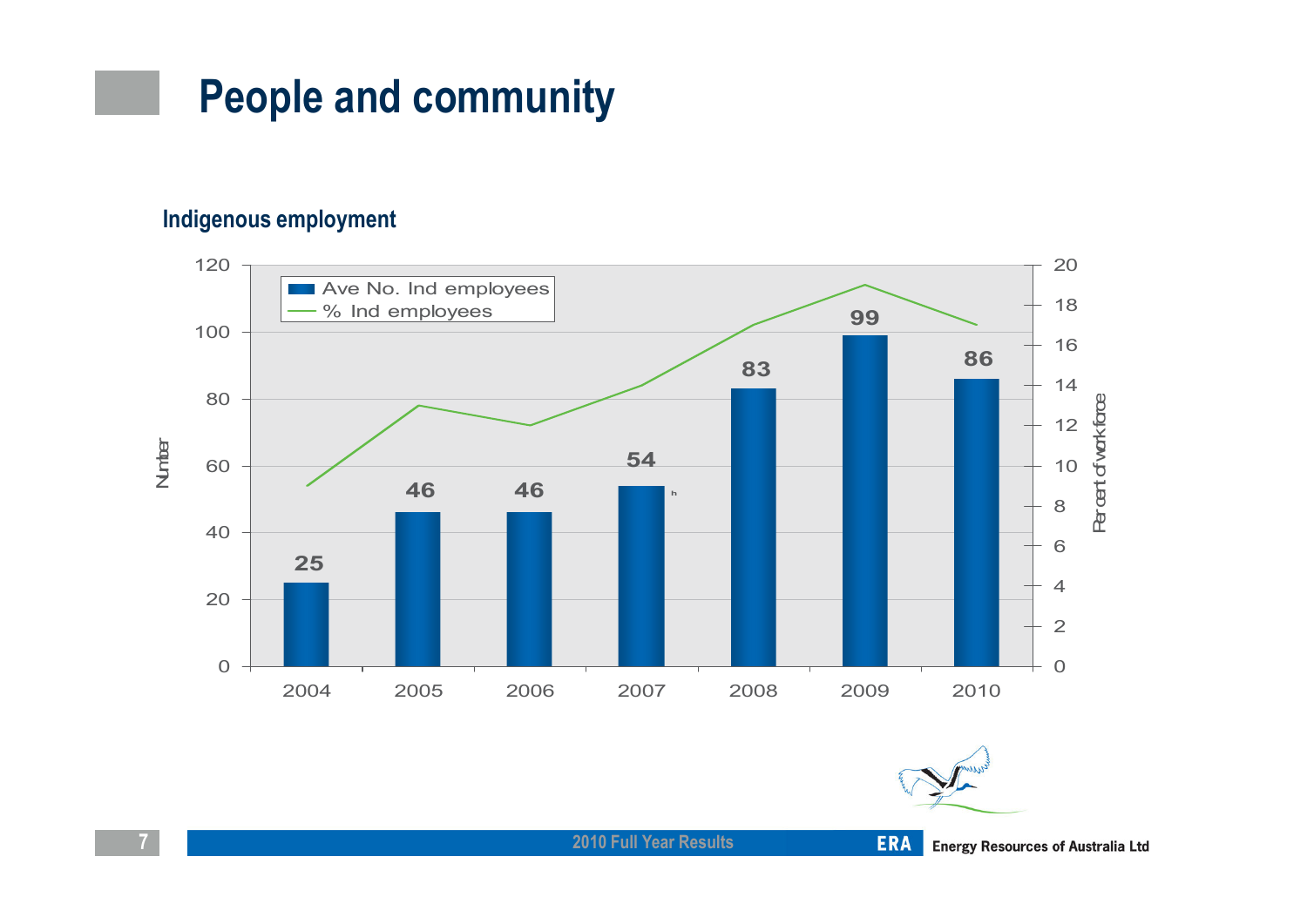### People and community

#### Indigenous employment





2010 Full Year Results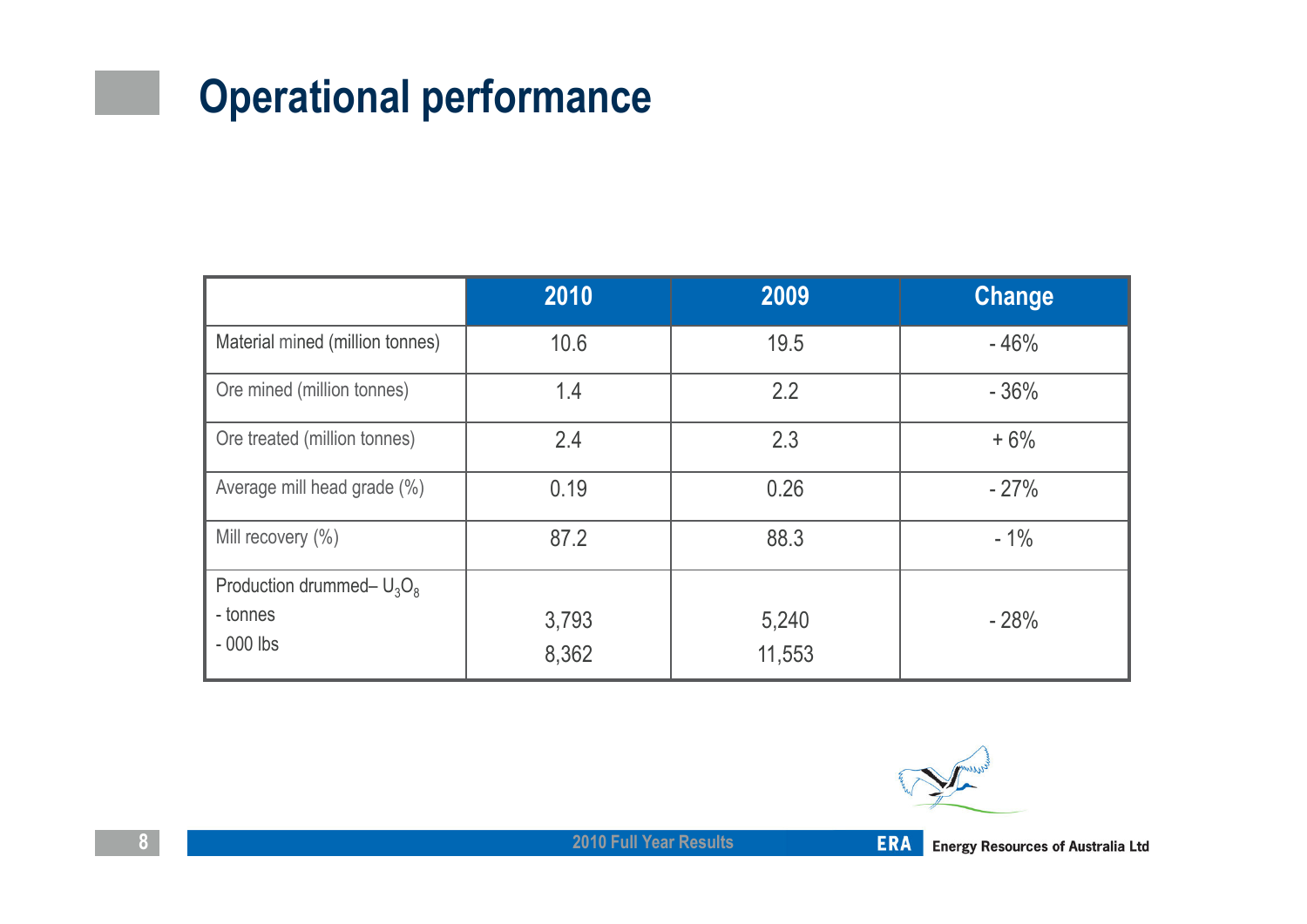## Operational performance

|                                 | 2010           | 2009            | <b>Change</b> |
|---------------------------------|----------------|-----------------|---------------|
| Material mined (million tonnes) | 10.6           | 19.5            | $-46%$        |
| Ore mined (million tonnes)      | 1.4            | 2.2             | $-36%$        |
| Ore treated (million tonnes)    | 2.4            | 2.3             | $+6%$         |
| Average mill head grade (%)     | 0.19           | 0.26            | $-27%$        |
| Mill recovery (%)               | 87.2           | 88.3            | $-1\%$        |
| Production drummed- $U_3O_8$    |                |                 |               |
| - tonnes<br>$-000$ lbs          | 3,793<br>8,362 | 5,240<br>11,553 | $-28%$        |

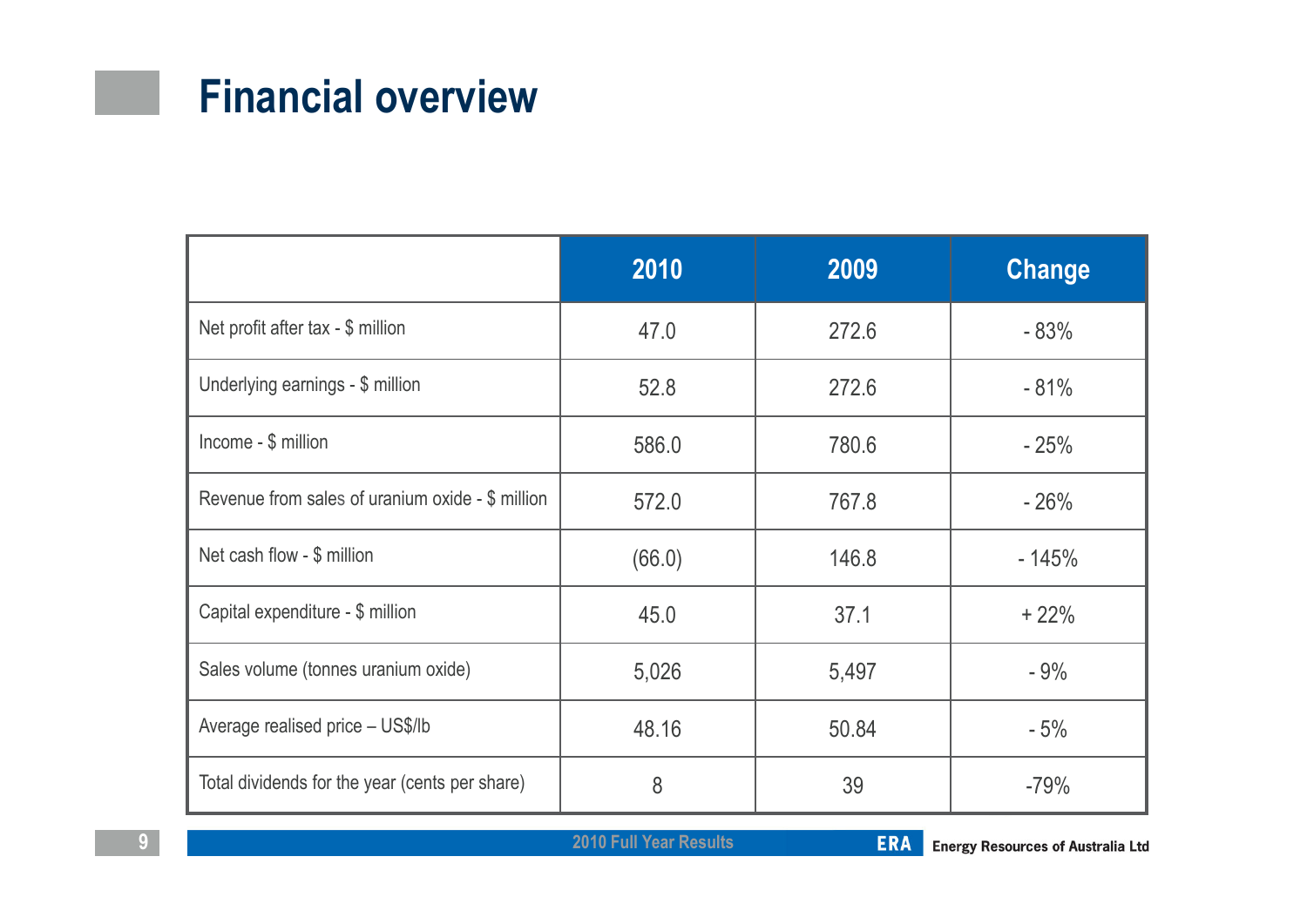## Financial overview

|                                                  | 2010   | 2009  | <b>Change</b> |
|--------------------------------------------------|--------|-------|---------------|
| Net profit after tax - \$ million                | 47.0   | 272.6 | $-83%$        |
| Underlying earnings - \$ million                 | 52.8   | 272.6 | $-81%$        |
| Income - \$ million                              | 586.0  | 780.6 | $-25%$        |
| Revenue from sales of uranium oxide - \$ million | 572.0  | 767.8 | $-26%$        |
| Net cash flow - \$ million                       | (66.0) | 146.8 | $-145%$       |
| Capital expenditure - \$ million                 | 45.0   | 37.1  | $+22%$        |
| Sales volume (tonnes uranium oxide)              | 5,026  | 5,497 | $-9%$         |
| Average realised price - US\$/lb                 | 48.16  | 50.84 | $-5%$         |
| Total dividends for the year (cents per share)   | 8      | 39    | $-79%$        |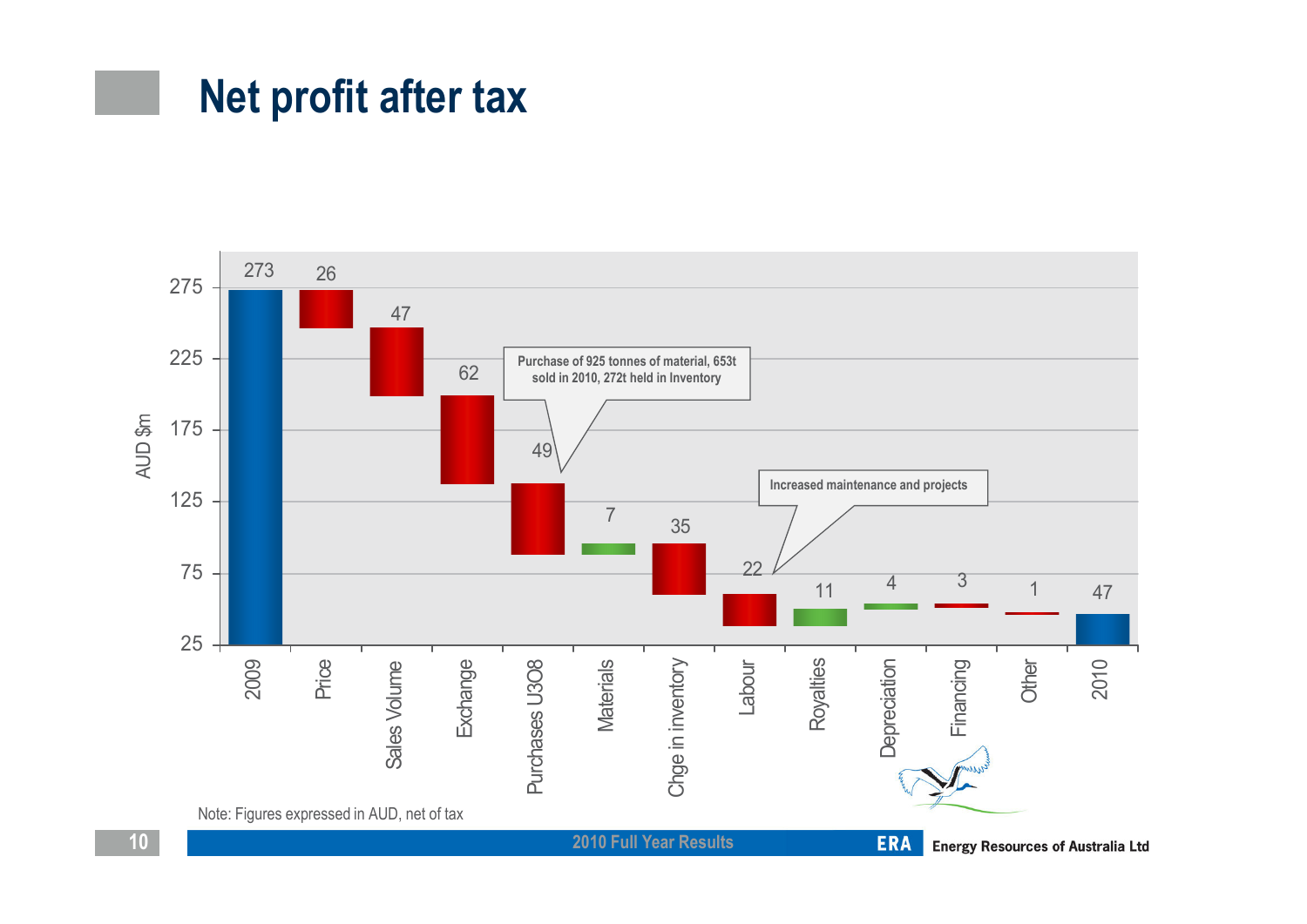### Net profit after tax

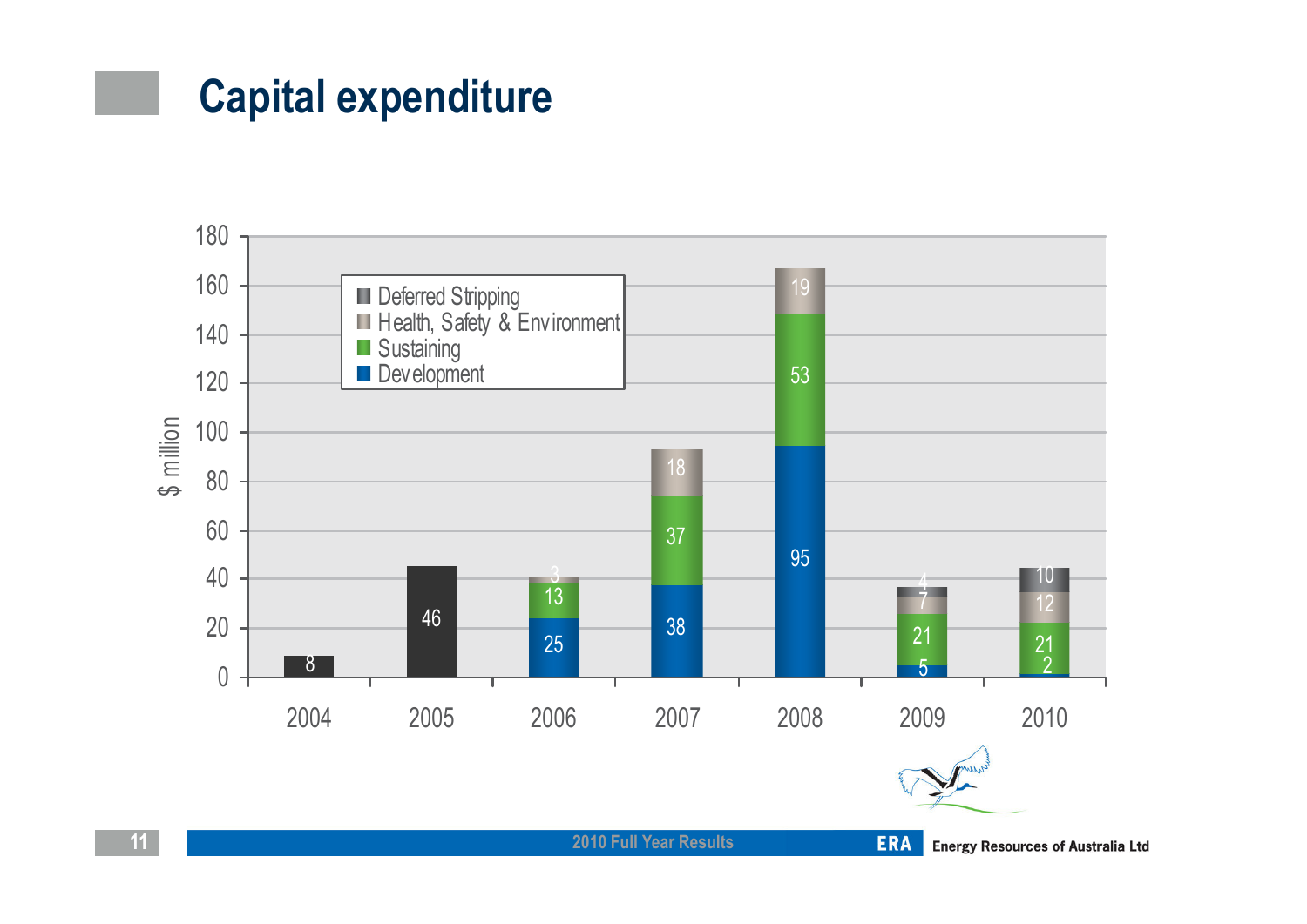## Capital expenditure

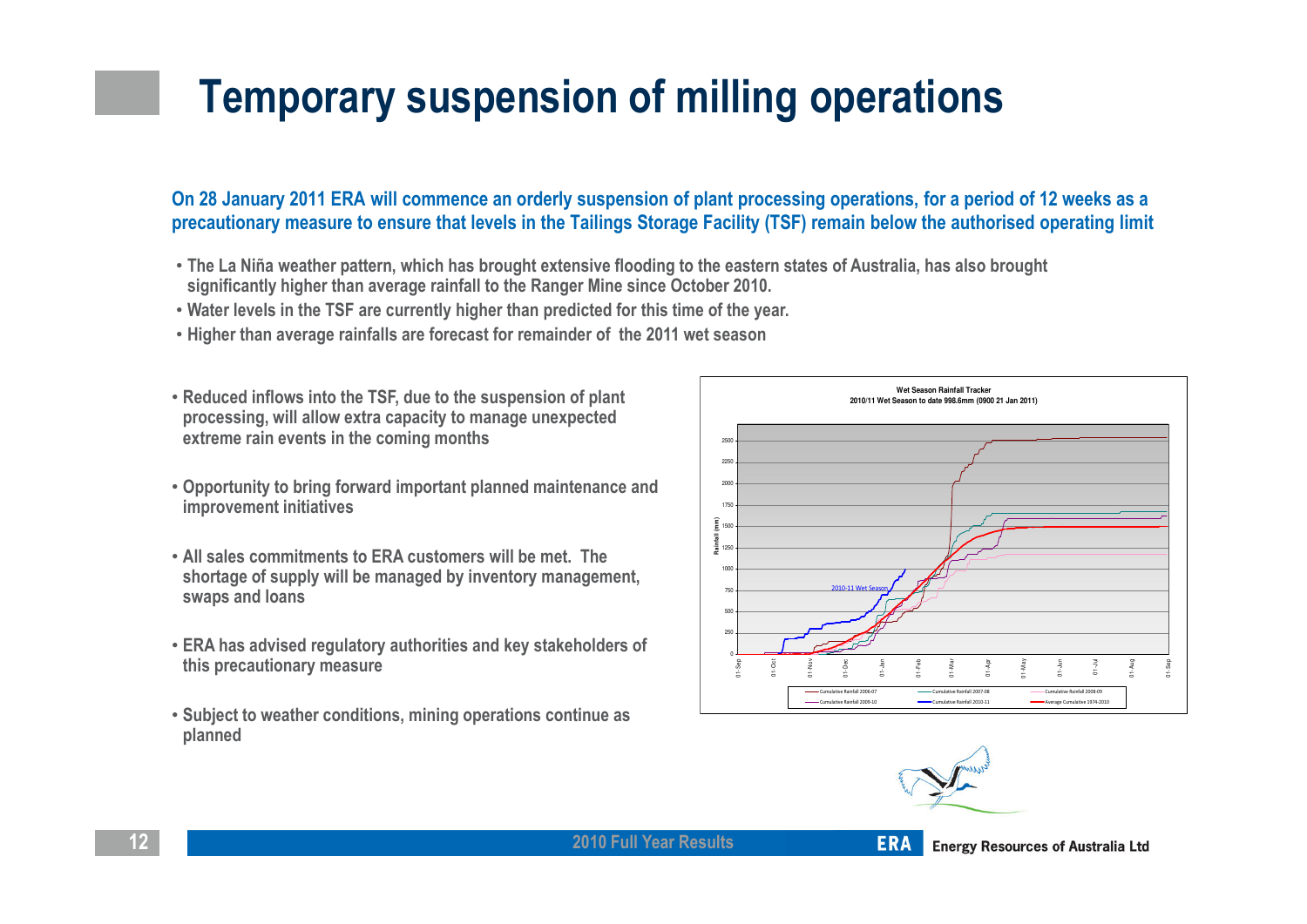## Temporary suspension of milling operations

#### On 28 January 2011 ERA will commence an orderly suspension of plant processing operations, for a period of 12 weeks as a precautionary measure to ensure that levels in the Tailings Storage Facility (TSF) remain below the authorised operating limit

- The La Niña weather pattern, which has brought extensive flooding to the eastern states of Australia, has also brought significantly higher than average rainfall to the Ranger Mine since October 2010.
- Water levels in the TSF are currently higher than predicted for this time of the year.
- Higher than average rainfalls are forecast for remainder of the 2011 wet season
- Reduced inflows into the TSF, due to the suspension of plant processing, will allow extra capacity to manage unexpected extreme rain events in the coming months
- Opportunity to bring forward important planned maintenance and improvement initiatives
- All sales commitments to ERA customers will be met. The shortage of supply will be managed by inventory management, swaps and loans
- ERA has advised regulatory authorities and key stakeholders of this precautionary measure
- Subject to weather conditions, mining operations continue as planned





2010 Full Year Results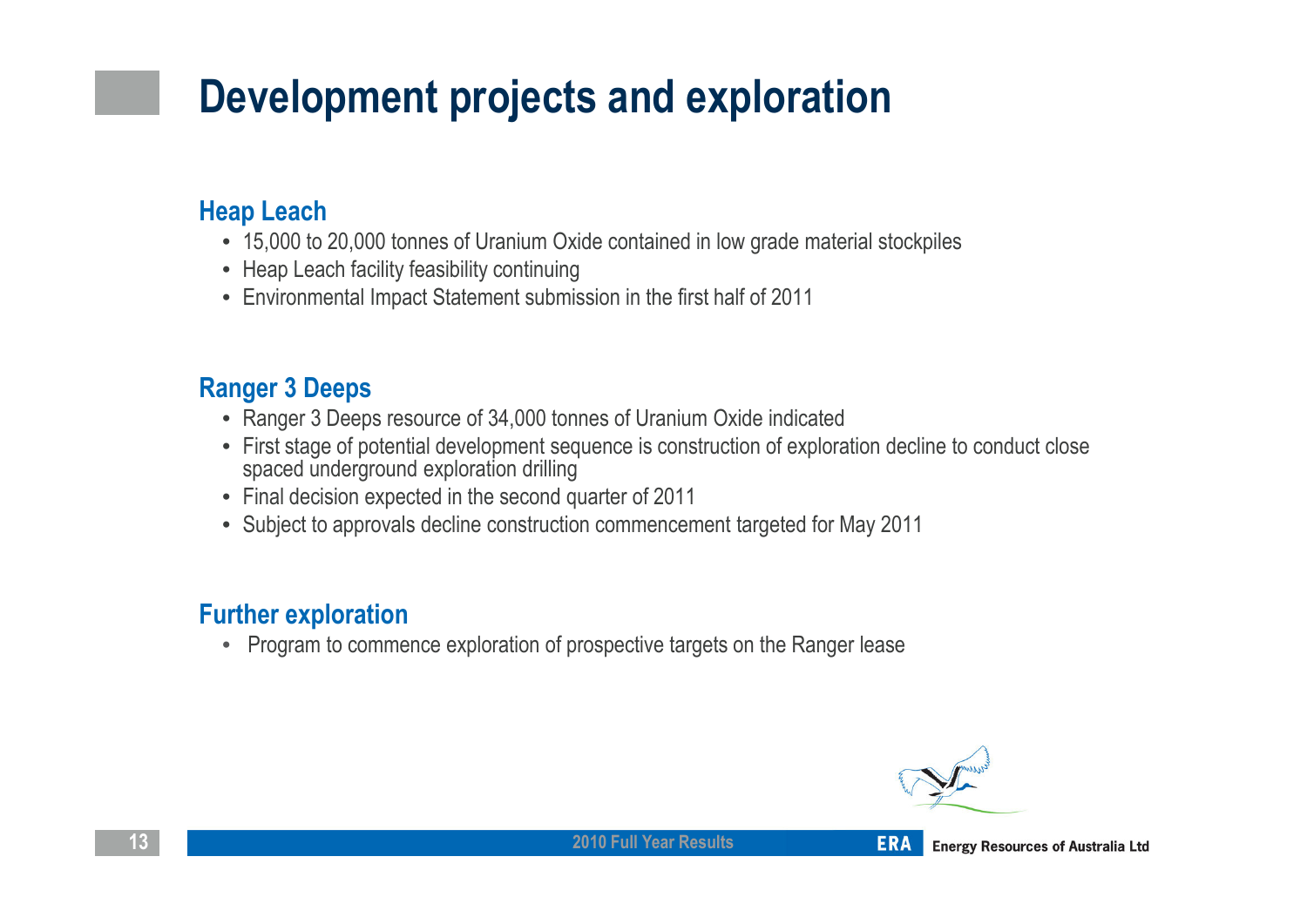## Development projects and exploration

#### Heap Leach

- 15,000 to 20,000 tonnes of Uranium Oxide contained in low grade material stockpiles
- Heap Leach facility feasibility continuing
- Environmental Impact Statement submission in the first half of 2011

#### Ranger 3 Deeps

- Ranger 3 Deeps resource of 34,000 tonnes of Uranium Oxide indicated
- First stage of potential development sequence is construction of exploration decline to conduct close spaced underground exploration drilling
- Final decision expected in the second quarter of 2011
- Subject to approvals decline construction commencement targeted for May 2011

#### Further exploration

• Program to commence exploration of prospective targets on the Ranger lease



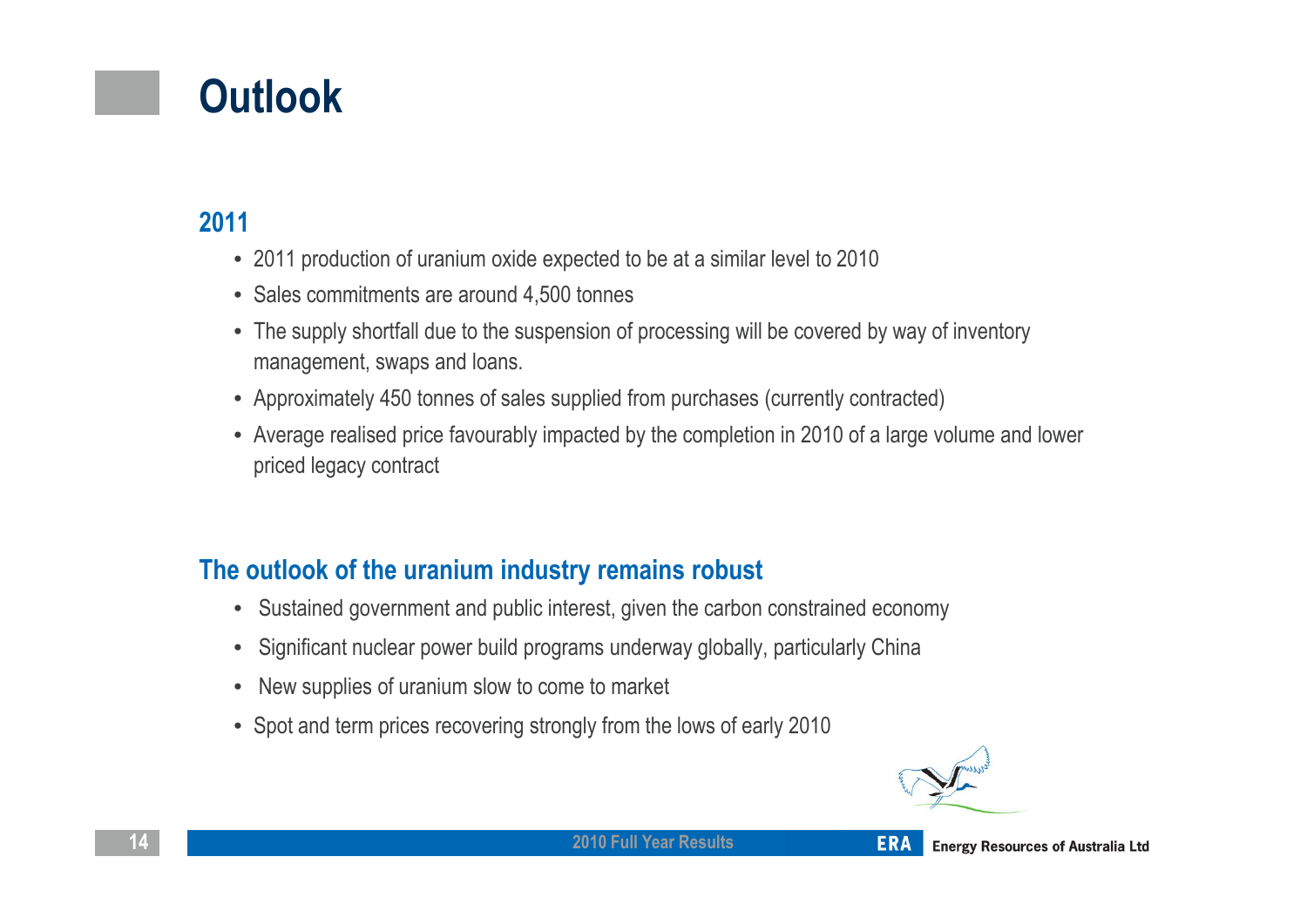## **Outlook**

#### 2011

- 2011 production of uranium oxide expected to be at a similar level to 2010
- Sales commitments are around 4,500 tonnes
- The supply shortfall due to the suspension of processing will be covered by way of inventory management, swaps and loans.
- Approximately 450 tonnes of sales supplied from purchases (currently contracted)
- Average realised price favourably impacted by the completion in 2010 of a large volume and lower priced legacy contract

#### The outlook of the uranium industry remains robust

- Sustained government and public interest, given the carbon constrained economy
- Significant nuclear power build programs underway globally, particularly China
- New supplies of uranium slow to come to market
- Spot and term prices recovering strongly from the lows of early 2010



2010 Full Year Results